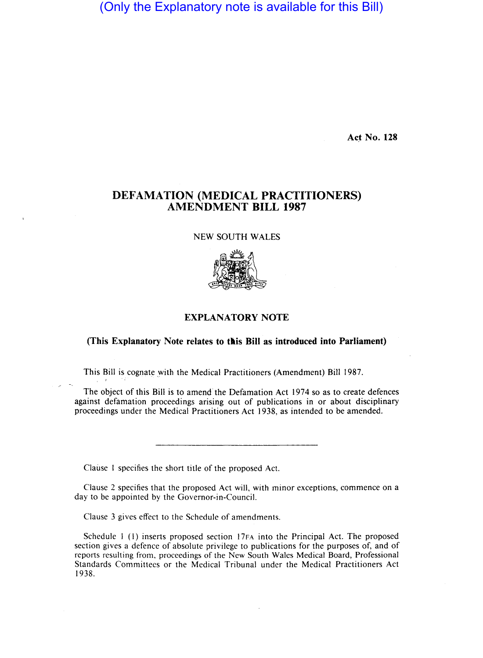(Only the Explanatory note is available for this Bill)

**Act No. 128** 

## DEFAMATION (MEDICAL PRACTITIONERS) AMENDMENT BILL 1987

## NEW SOUTH WALES



## EXPLANATORY NOTE

## (This Explanatory Note relates to this Bill as introduced into Parliament)

This Bill is cognate with the Medical Practitioners (Amendment) Bill 1987.

The object of this Bill is to amend the Defamation Act 1974 so as to create defences against defamation proceedings arising out of publications in or about disciplinary proceedings under the Medical Practitioners Act 1938, as intended to be amended.

Clause 1 specifies the short title of the proposed Act.

, r

Clause 2 specifies that the proposed Act will, with minor exceptions, commence on a day to be appointed by the Governor-in-Council.

Clause 3 gives effect to the Schedule of amendments.

Schedule 1 (1) inserts proposed section 17FA into the Principal Act. The proposed section gives a defence of absolute privilege to publications for the purposes of, and of reports resulting from, proceedings of the New South Wales Medical Board, Professional Standards Committees or the Medical Tribunal under the Medical Practitioners Act 1938.